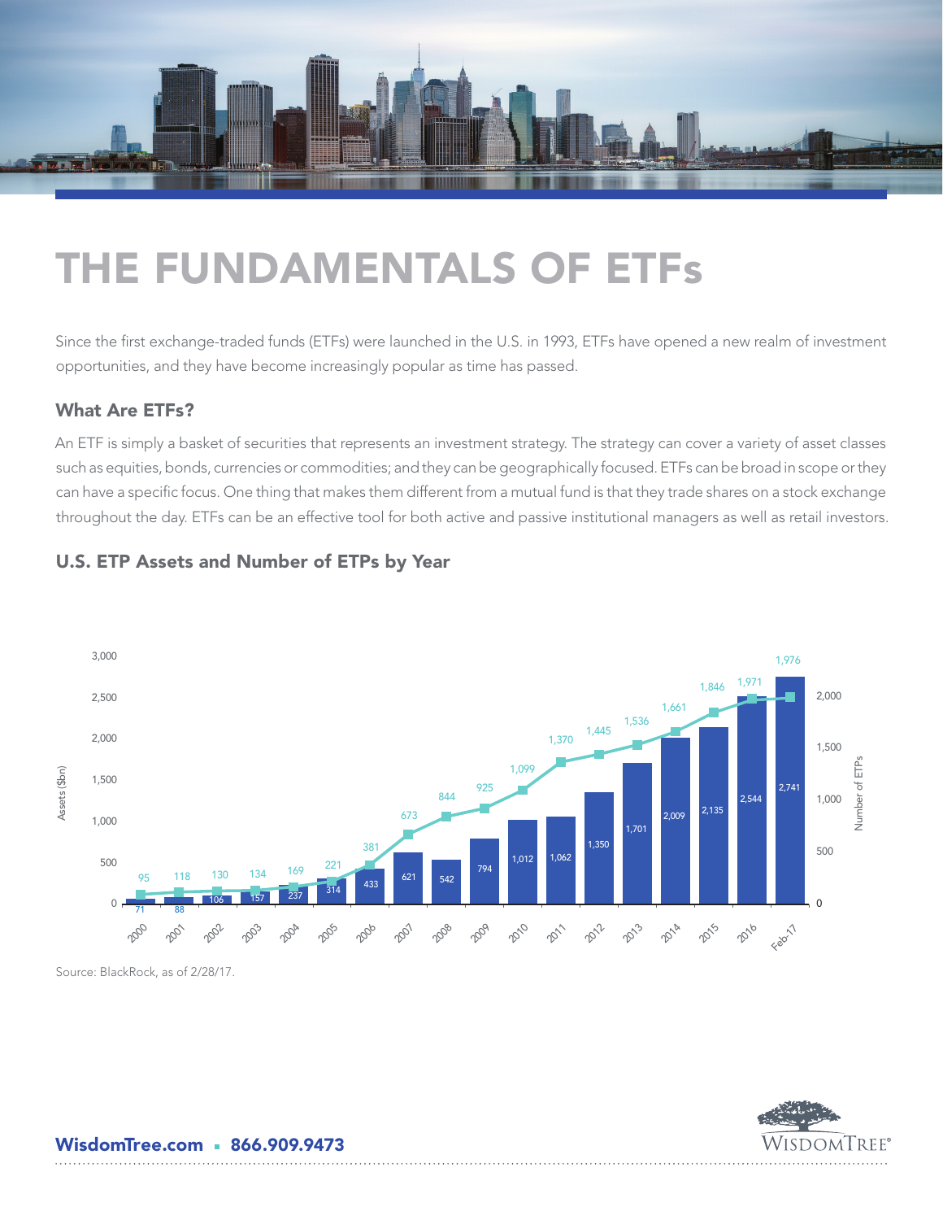

# THE FUNDAMENTALS OF ETFs

Since the first exchange-traded funds (ETFs) were launched in the U.S. in 1993, ETFs have opened a new realm of investment opportunities, and they have become increasingly popular as time has passed.

#### What Are ETFs?

An ETF is simply a basket of securities that represents an investment strategy. The strategy can cover a variety of asset classes such as equities, bonds, currencies or commodities; and they can be geographically focused. ETFs can be broad in scope or they can have a specific focus. One thing that makes them different from a mutual fund is that they trade shares on a stock exchange throughout the day. ETFs can be an effective tool for both active and passive institutional managers as well as retail investors.



WisdomTree®

## U.S. ETP Assets and Number of ETPs by Year

Source: BlackRock, as of 2/28/17.